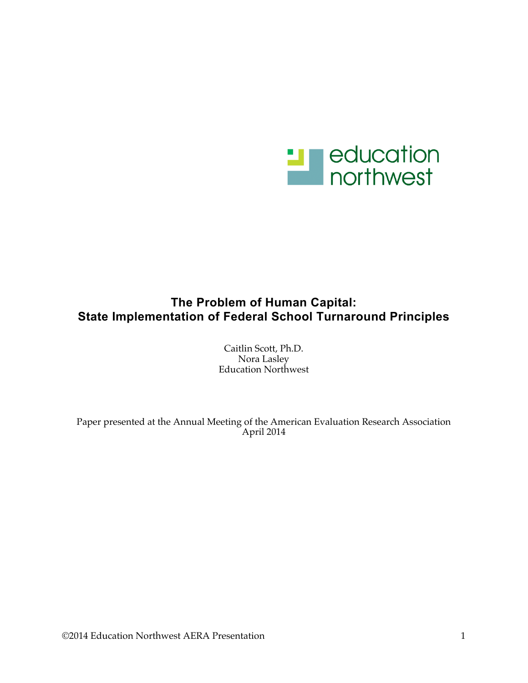

# **The Problem of Human Capital: State Implementation of Federal School Turnaround Principles**

Caitlin Scott, Ph.D. Nora Lasley Education Northwest

Paper presented at the Annual Meeting of the American Evaluation Research Association April 2014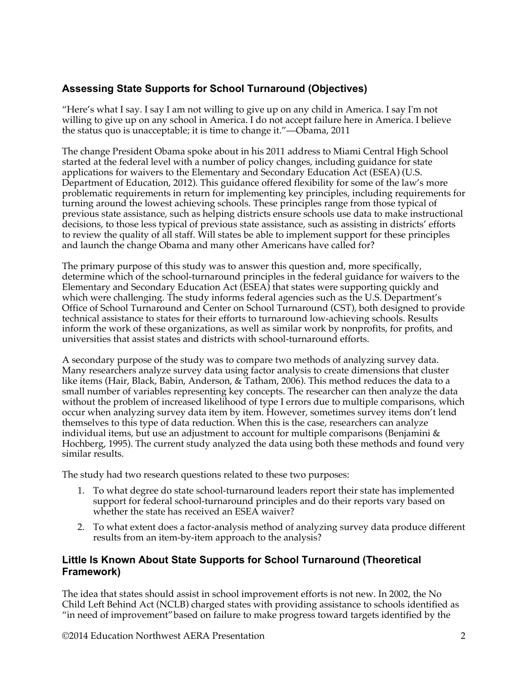# **Assessing State Supports for School Turnaround (Objectives)**

"Here's what I say. I say I am not willing to give up on any child in America. I say I'm not willing to give up on any school in America. I do not accept failure here in America. I believe the status quo is unacceptable; it is time to change it."—Obama, 2011

The change President Obama spoke about in his 2011 address to Miami Central High School started at the federal level with a number of policy changes, including guidance for state applications for waivers to the Elementary and Secondary Education Act (ESEA) (U.S. Department of Education, 2012). This guidance offered flexibility for some of the law's more problematic requirements in return for implementing key principles, including requirements for turning around the lowest achieving schools. These principles range from those typical of previous state assistance, such as helping districts ensure schools use data to make instructional decisions, to those less typical of previous state assistance, such as assisting in districts' efforts to review the quality of all staff. Will states be able to implement support for these principles and launch the change Obama and many other Americans have called for?

The primary purpose of this study was to answer this question and, more specifically, determine which of the school-turnaround principles in the federal guidance for waivers to the Elementary and Secondary Education Act (ESEA) that states were supporting quickly and which were challenging. The study informs federal agencies such as the U.S. Department's Office of School Turnaround and Center on School Turnaround (CST), both designed to provide technical assistance to states for their efforts to turnaround low-achieving schools. Results inform the work of these organizations, as well as similar work by nonprofits, for profits, and universities that assist states and districts with school-turnaround efforts.

A secondary purpose of the study was to compare two methods of analyzing survey data. Many researchers analyze survey data using factor analysis to create dimensions that cluster like items (Hair, Black, Babin, Anderson, & Tatham, 2006). This method reduces the data to a small number of variables representing key concepts. The researcher can then analyze the data without the problem of increased likelihood of type I errors due to multiple comparisons, which occur when analyzing survey data item by item. However, sometimes survey items don't lend themselves to this type of data reduction. When this is the case, researchers can analyze individual items, but use an adjustment to account for multiple comparisons (Benjamini  $\&$ Hochberg, 1995). The current study analyzed the data using both these methods and found very similar results.

The study had two research questions related to these two purposes:

- 1. To what degree do state school-turnaround leaders report their state has implemented support for federal school-turnaround principles and do their reports vary based on whether the state has received an ESEA waiver?
- 2. To what extent does a factor-analysis method of analyzing survey data produce different results from an item-by-item approach to the analysis?

## **Little Is Known About State Supports for School Turnaround (Theoretical Framework)**

The idea that states should assist in school improvement efforts is not new. In 2002, the No Child Left Behind Act (NCLB) charged states with providing assistance to schools identified as "in need of improvement"based on failure to make progress toward targets identified by the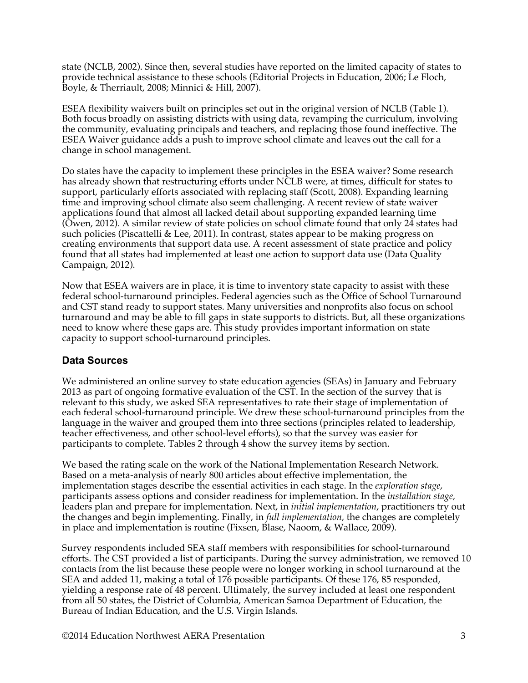state (NCLB, 2002). Since then, several studies have reported on the limited capacity of states to provide technical assistance to these schools (Editorial Projects in Education, 2006; Le Floch, Boyle, & Therriault, 2008; Minnici & Hill, 2007).

ESEA flexibility waivers built on principles set out in the original version of NCLB (Table 1). Both focus broadly on assisting districts with using data, revamping the curriculum, involving the community, evaluating principals and teachers, and replacing those found ineffective. The ESEA Waiver guidance adds a push to improve school climate and leaves out the call for a change in school management.

Do states have the capacity to implement these principles in the ESEA waiver? Some research has already shown that restructuring efforts under NCLB were, at times, difficult for states to support, particularly efforts associated with replacing staff (Scott, 2008). Expanding learning time and improving school climate also seem challenging. A recent review of state waiver applications found that almost all lacked detail about supporting expanded learning time (Owen, 2012). A similar review of state policies on school climate found that only 24 states had such policies (Piscattelli & Lee, 2011). In contrast, states appear to be making progress on creating environments that support data use. A recent assessment of state practice and policy found that all states had implemented at least one action to support data use (Data Quality Campaign, 2012).

Now that ESEA waivers are in place, it is time to inventory state capacity to assist with these federal school-turnaround principles. Federal agencies such as the Office of School Turnaround and CST stand ready to support states. Many universities and nonprofits also focus on school turnaround and may be able to fill gaps in state supports to districts. But, all these organizations need to know where these gaps are. This study provides important information on state capacity to support school-turnaround principles.

### **Data Sources**

We administered an online survey to state education agencies (SEAs) in January and February 2013 as part of ongoing formative evaluation of the CST. In the section of the survey that is relevant to this study, we asked SEA representatives to rate their stage of implementation of each federal school-turnaround principle. We drew these school-turnaround principles from the language in the waiver and grouped them into three sections (principles related to leadership, teacher effectiveness, and other school-level efforts), so that the survey was easier for participants to complete. Tables 2 through 4 show the survey items by section.

We based the rating scale on the work of the National Implementation Research Network. Based on a meta-analysis of nearly 800 articles about effective implementation, the implementation stages describe the essential activities in each stage. In the *exploration stage*, participants assess options and consider readiness for implementation. In the *installation stage,* leaders plan and prepare for implementation. Next, in *initial implementation*, practitioners try out the changes and begin implementing. Finally, in *full implementation,* the changes are completely in place and implementation is routine (Fixsen, Blase, Naoom, & Wallace, 2009).

Survey respondents included SEA staff members with responsibilities for school-turnaround efforts. The CST provided a list of participants. During the survey administration, we removed 10 contacts from the list because these people were no longer working in school turnaround at the SEA and added 11, making a total of 176 possible participants. Of these 176, 85 responded, yielding a response rate of 48 percent. Ultimately, the survey included at least one respondent from all 50 states, the District of Columbia, American Samoa Department of Education, the Bureau of Indian Education, and the U.S. Virgin Islands.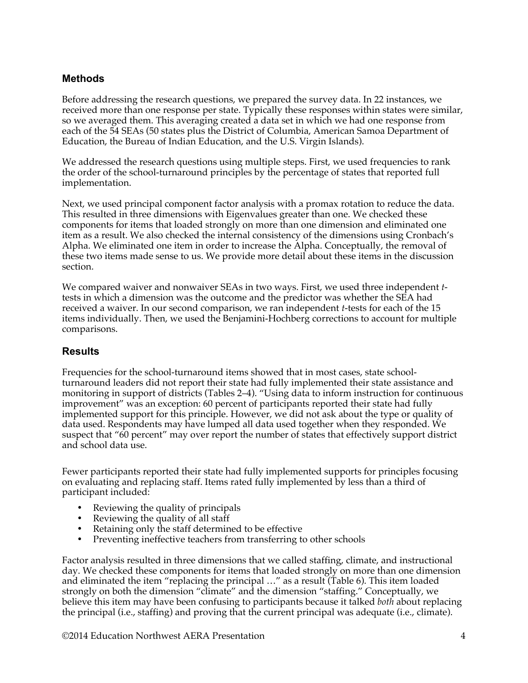### **Methods**

Before addressing the research questions, we prepared the survey data. In 22 instances, we received more than one response per state. Typically these responses within states were similar, so we averaged them. This averaging created a data set in which we had one response from each of the 54 SEAs (50 states plus the District of Columbia, American Samoa Department of Education, the Bureau of Indian Education, and the U.S. Virgin Islands).

We addressed the research questions using multiple steps. First, we used frequencies to rank the order of the school-turnaround principles by the percentage of states that reported full implementation.

Next, we used principal component factor analysis with a promax rotation to reduce the data. This resulted in three dimensions with Eigenvalues greater than one. We checked these components for items that loaded strongly on more than one dimension and eliminated one item as a result. We also checked the internal consistency of the dimensions using Cronbach's Alpha. We eliminated one item in order to increase the Alpha. Conceptually, the removal of these two items made sense to us. We provide more detail about these items in the discussion section.

We compared waiver and nonwaiver SEAs in two ways. First, we used three independent *t*tests in which a dimension was the outcome and the predictor was whether the SEA had received a waiver. In our second comparison, we ran independent *t*-tests for each of the 15 items individually. Then, we used the Benjamini-Hochberg corrections to account for multiple comparisons.

### **Results**

Frequencies for the school-turnaround items showed that in most cases, state schoolturnaround leaders did not report their state had fully implemented their state assistance and monitoring in support of districts (Tables 2–4). "Using data to inform instruction for continuous improvement" was an exception: 60 percent of participants reported their state had fully implemented support for this principle. However, we did not ask about the type or quality of data used. Respondents may have lumped all data used together when they responded. We suspect that "60 percent" may over report the number of states that effectively support district and school data use.

Fewer participants reported their state had fully implemented supports for principles focusing on evaluating and replacing staff. Items rated fully implemented by less than a third of participant included:

- Reviewing the quality of principals
- Reviewing the quality of all staff
- Retaining only the staff determined to be effective
- Preventing ineffective teachers from transferring to other schools

Factor analysis resulted in three dimensions that we called staffing, climate, and instructional day. We checked these components for items that loaded strongly on more than one dimension and eliminated the item "replacing the principal …" as a result (Table 6). This item loaded strongly on both the dimension "climate" and the dimension "staffing." Conceptually, we believe this item may have been confusing to participants because it talked *both* about replacing the principal (i.e., staffing) and proving that the current principal was adequate (i.e., climate).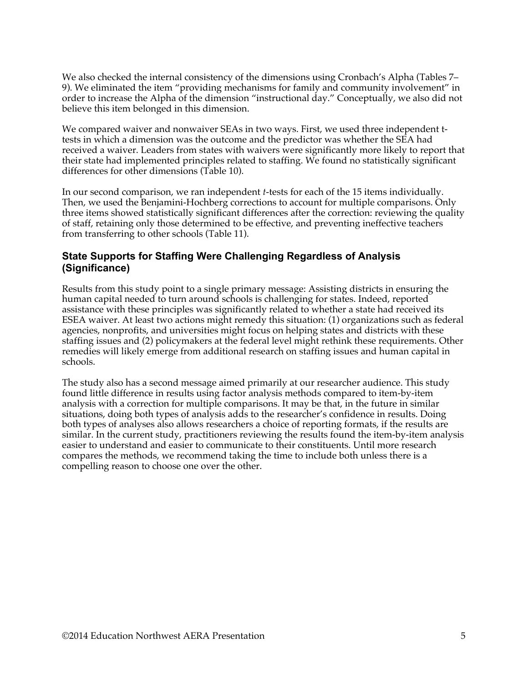We also checked the internal consistency of the dimensions using Cronbach's Alpha (Tables 7– 9). We eliminated the item "providing mechanisms for family and community involvement" in order to increase the Alpha of the dimension "instructional day." Conceptually, we also did not believe this item belonged in this dimension.

We compared waiver and nonwaiver SEAs in two ways. First, we used three independent ttests in which a dimension was the outcome and the predictor was whether the SEA had received a waiver. Leaders from states with waivers were significantly more likely to report that their state had implemented principles related to staffing. We found no statistically significant differences for other dimensions (Table 10).

In our second comparison, we ran independent *t*-tests for each of the 15 items individually. Then, we used the Benjamini-Hochberg corrections to account for multiple comparisons. Only three items showed statistically significant differences after the correction: reviewing the quality of staff, retaining only those determined to be effective, and preventing ineffective teachers from transferring to other schools (Table 11).

### **State Supports for Staffing Were Challenging Regardless of Analysis (Significance)**

Results from this study point to a single primary message: Assisting districts in ensuring the human capital needed to turn around schools is challenging for states. Indeed, reported assistance with these principles was significantly related to whether a state had received its ESEA waiver. At least two actions might remedy this situation: (1) organizations such as federal agencies, nonprofits, and universities might focus on helping states and districts with these staffing issues and (2) policymakers at the federal level might rethink these requirements. Other remedies will likely emerge from additional research on staffing issues and human capital in schools.

The study also has a second message aimed primarily at our researcher audience. This study found little difference in results using factor analysis methods compared to item-by-item analysis with a correction for multiple comparisons. It may be that, in the future in similar situations, doing both types of analysis adds to the researcher's confidence in results. Doing both types of analyses also allows researchers a choice of reporting formats, if the results are similar. In the current study, practitioners reviewing the results found the item-by-item analysis easier to understand and easier to communicate to their constituents. Until more research compares the methods, we recommend taking the time to include both unless there is a compelling reason to choose one over the other.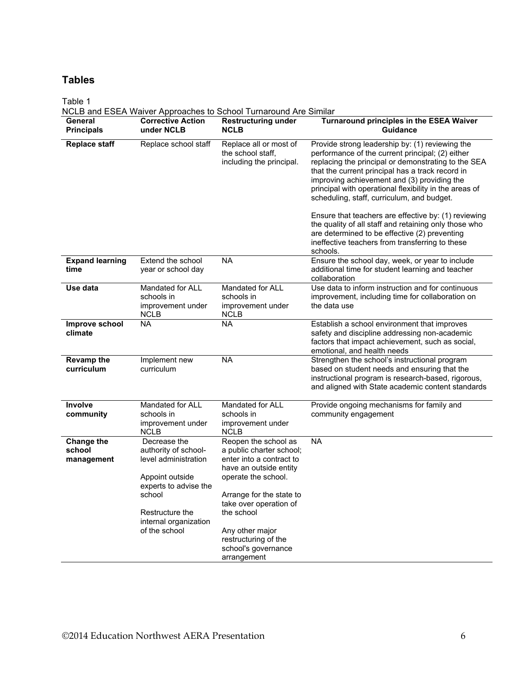# **Tables**

Table 1

|                                           |                                                                                                                                                                                 | NCLB and ESEA Waiver Approaches to School Turnaround Are Similar                                                                                                                                                                                                                   |                                                                                                                                                                                                                                                                                                                                                                       |  |  |
|-------------------------------------------|---------------------------------------------------------------------------------------------------------------------------------------------------------------------------------|------------------------------------------------------------------------------------------------------------------------------------------------------------------------------------------------------------------------------------------------------------------------------------|-----------------------------------------------------------------------------------------------------------------------------------------------------------------------------------------------------------------------------------------------------------------------------------------------------------------------------------------------------------------------|--|--|
| General<br><b>Principals</b>              | <b>Corrective Action</b><br>under NCLB                                                                                                                                          | <b>Restructuring under</b><br><b>NCLB</b>                                                                                                                                                                                                                                          | Turnaround principles in the ESEA Waiver<br><b>Guidance</b>                                                                                                                                                                                                                                                                                                           |  |  |
| <b>Replace staff</b>                      | Replace school staff                                                                                                                                                            | Replace all or most of<br>the school staff,<br>including the principal.                                                                                                                                                                                                            | Provide strong leadership by: (1) reviewing the<br>performance of the current principal; (2) either<br>replacing the principal or demonstrating to the SEA<br>that the current principal has a track record in<br>improving achievement and (3) providing the<br>principal with operational flexibility in the areas of<br>scheduling, staff, curriculum, and budget. |  |  |
|                                           |                                                                                                                                                                                 |                                                                                                                                                                                                                                                                                    | Ensure that teachers are effective by: (1) reviewing<br>the quality of all staff and retaining only those who<br>are determined to be effective (2) preventing<br>ineffective teachers from transferring to these<br>schools.                                                                                                                                         |  |  |
| <b>Expand learning</b><br>time            | Extend the school<br>year or school day                                                                                                                                         | <b>NA</b>                                                                                                                                                                                                                                                                          | Ensure the school day, week, or year to include<br>additional time for student learning and teacher<br>collaboration                                                                                                                                                                                                                                                  |  |  |
| Use data                                  | Mandated for ALL<br>schools in<br>improvement under<br><b>NCLB</b>                                                                                                              | Mandated for ALL<br>schools in<br>improvement under<br><b>NCLB</b>                                                                                                                                                                                                                 | Use data to inform instruction and for continuous<br>improvement, including time for collaboration on<br>the data use                                                                                                                                                                                                                                                 |  |  |
| Improve school<br>climate                 | <b>NA</b>                                                                                                                                                                       | <b>NA</b>                                                                                                                                                                                                                                                                          | Establish a school environment that improves<br>safety and discipline addressing non-academic<br>factors that impact achievement, such as social,<br>emotional, and health needs                                                                                                                                                                                      |  |  |
| <b>Revamp the</b><br>curriculum           | Implement new<br>curriculum                                                                                                                                                     | <b>NA</b>                                                                                                                                                                                                                                                                          | Strengthen the school's instructional program<br>based on student needs and ensuring that the<br>instructional program is research-based, rigorous,<br>and aligned with State academic content standards                                                                                                                                                              |  |  |
| <b>Involve</b><br>community               | Mandated for ALL<br>schools in<br>improvement under<br><b>NCLB</b>                                                                                                              | Mandated for ALL<br>schools in<br>improvement under<br>NCLB                                                                                                                                                                                                                        | Provide ongoing mechanisms for family and<br>community engagement                                                                                                                                                                                                                                                                                                     |  |  |
| <b>Change the</b><br>school<br>management | Decrease the<br>authority of school-<br>level administration<br>Appoint outside<br>experts to advise the<br>school<br>Restructure the<br>internal organization<br>of the school | Reopen the school as<br>a public charter school;<br>enter into a contract to<br>have an outside entity<br>operate the school.<br>Arrange for the state to<br>take over operation of<br>the school<br>Any other major<br>restructuring of the<br>school's governance<br>arrangement | <b>NA</b>                                                                                                                                                                                                                                                                                                                                                             |  |  |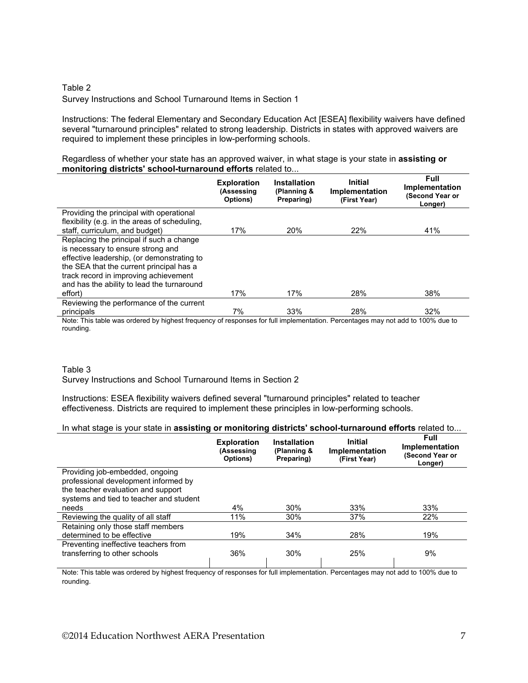### Table 2 Survey Instructions and School Turnaround Items in Section 1

Instructions: The federal Elementary and Secondary Education Act [ESEA] flexibility waivers have defined several "turnaround principles" related to strong leadership. Districts in states with approved waivers are required to implement these principles in low-performing schools.

Regardless of whether your state has an approved waiver, in what stage is your state in **assisting or monitoring districts' school-turnaround efforts** related to...

|                                               | <b>Exploration</b><br>(Assessing<br>Options) | <b>Installation</b><br>(Planning &<br>Preparing) | <b>Initial</b><br>Implementation<br>(First Year) | Full<br>Implementation<br>(Second Year or<br>Longer) |
|-----------------------------------------------|----------------------------------------------|--------------------------------------------------|--------------------------------------------------|------------------------------------------------------|
| Providing the principal with operational      |                                              |                                                  |                                                  |                                                      |
| flexibility (e.g. in the areas of scheduling, |                                              |                                                  |                                                  |                                                      |
| staff, curriculum, and budget)                | 17%                                          | 20%                                              | 22%                                              | 41%                                                  |
| Replacing the principal if such a change      |                                              |                                                  |                                                  |                                                      |
| is necessary to ensure strong and             |                                              |                                                  |                                                  |                                                      |
| effective leadership, (or demonstrating to    |                                              |                                                  |                                                  |                                                      |
| the SEA that the current principal has a      |                                              |                                                  |                                                  |                                                      |
| track record in improving achievement         |                                              |                                                  |                                                  |                                                      |
| and has the ability to lead the turnaround    |                                              |                                                  |                                                  |                                                      |
| effort)                                       | 17%                                          | 17%                                              | 28%                                              | 38%                                                  |
| Reviewing the performance of the current      |                                              |                                                  |                                                  |                                                      |
| principals                                    | 7%                                           | 33%                                              | 28%                                              | 32%                                                  |

Note: This table was ordered by highest frequency of responses for full implementation. Percentages may not add to 100% due to rounding.

#### Table 3 Survey Instructions and School Turnaround Items in Section 2

Instructions: ESEA flexibility waivers defined several "turnaround principles" related to teacher effectiveness. Districts are required to implement these principles in low-performing schools.

#### In what stage is your state in **assisting or monitoring districts' school-turnaround efforts** related to...

|                                         | <b>Exploration</b><br>(Assessing<br>Options) | <b>Installation</b><br>(Planning &<br>Preparing) | Initial<br>Implementation<br>(First Year) | Full<br>Implementation<br>(Second Year or<br>Longer) |
|-----------------------------------------|----------------------------------------------|--------------------------------------------------|-------------------------------------------|------------------------------------------------------|
| Providing job-embedded, ongoing         |                                              |                                                  |                                           |                                                      |
| professional development informed by    |                                              |                                                  |                                           |                                                      |
| the teacher evaluation and support      |                                              |                                                  |                                           |                                                      |
| systems and tied to teacher and student |                                              |                                                  |                                           |                                                      |
| needs                                   | 4%                                           | 30%                                              | 33%                                       | 33%                                                  |
| Reviewing the quality of all staff      | 11%                                          | 30%                                              | 37%                                       | 22%                                                  |
| Retaining only those staff members      |                                              |                                                  |                                           |                                                      |
| determined to be effective              | 19%                                          | 34%                                              | 28%                                       | 19%                                                  |
| Preventing ineffective teachers from    |                                              |                                                  |                                           |                                                      |
| transferring to other schools           | 36%                                          | 30%                                              | 25%                                       | 9%                                                   |
|                                         |                                              |                                                  |                                           |                                                      |

Note: This table was ordered by highest frequency of responses for full implementation. Percentages may not add to 100% due to rounding.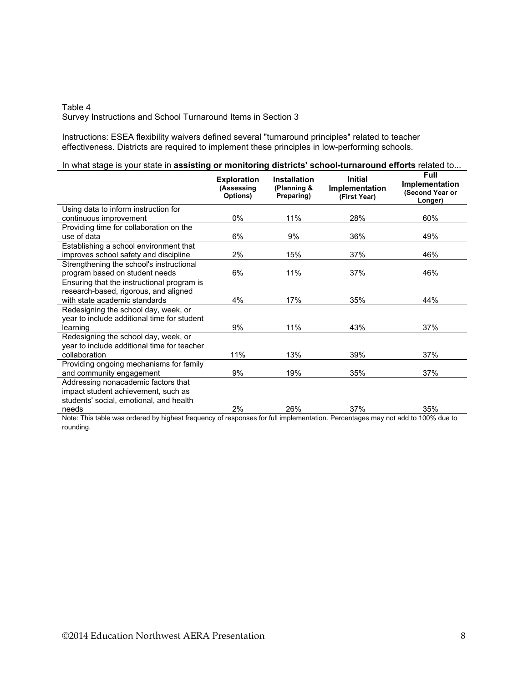#### Table 4 Survey Instructions and School Turnaround Items in Section 3

Instructions: ESEA flexibility waivers defined several "turnaround principles" related to teacher effectiveness. Districts are required to implement these principles in low-performing schools.

|  | In what stage is your state in assisting or monitoring districts' school-turnaround efforts related to |
|--|--------------------------------------------------------------------------------------------------------|
|--|--------------------------------------------------------------------------------------------------------|

|                                                                               | <b>Exploration</b><br>(Assessing<br>Options) | <b>Installation</b><br>(Planning &<br>Preparing)                       | <b>Initial</b><br>Implementation<br>(First Year) | Full<br>Implementation<br>(Second Year or<br>Longer) |
|-------------------------------------------------------------------------------|----------------------------------------------|------------------------------------------------------------------------|--------------------------------------------------|------------------------------------------------------|
| Using data to inform instruction for                                          |                                              |                                                                        |                                                  |                                                      |
| continuous improvement                                                        | 0%                                           | 11%                                                                    | 28%                                              | 60%                                                  |
| Providing time for collaboration on the                                       |                                              |                                                                        |                                                  |                                                      |
| use of data                                                                   | 6%                                           | 9%                                                                     | 36%                                              | 49%                                                  |
| Establishing a school environment that                                        |                                              |                                                                        |                                                  |                                                      |
| improves school safety and discipline                                         | 2%                                           | 15%                                                                    | 37%                                              | 46%                                                  |
| Strengthening the school's instructional                                      |                                              |                                                                        |                                                  |                                                      |
| program based on student needs                                                | 6%                                           | 11%                                                                    | 37%                                              | 46%                                                  |
| Ensuring that the instructional program is                                    |                                              |                                                                        |                                                  |                                                      |
| research-based, rigorous, and aligned                                         |                                              |                                                                        |                                                  |                                                      |
| with state academic standards                                                 | 4%                                           | 17%                                                                    | 35%                                              | 44%                                                  |
| Redesigning the school day, week, or                                          |                                              |                                                                        |                                                  |                                                      |
| year to include additional time for student                                   |                                              |                                                                        |                                                  |                                                      |
| learning                                                                      | 9%                                           | 11%                                                                    | 43%                                              | 37%                                                  |
| Redesigning the school day, week, or                                          |                                              |                                                                        |                                                  |                                                      |
| year to include additional time for teacher                                   |                                              |                                                                        |                                                  |                                                      |
| collaboration                                                                 | 11%                                          | 13%                                                                    | 39%                                              | 37%                                                  |
| Providing ongoing mechanisms for family                                       |                                              |                                                                        |                                                  |                                                      |
| and community engagement                                                      | 9%                                           | 19%                                                                    | 35%                                              | 37%                                                  |
| Addressing nonacademic factors that                                           |                                              |                                                                        |                                                  |                                                      |
| impact student achievement, such as                                           |                                              |                                                                        |                                                  |                                                      |
| students' social, emotional, and health                                       |                                              |                                                                        |                                                  |                                                      |
| needs<br>トリンチング すいじょうちょうしょうかい<br>to continuous at the collection of the first | 2%                                           | 26%<br>$\mathcal{L}$ and $\mathcal{L}$ and the second of $\mathcal{L}$ | 37%<br>D.                                        | 35%<br>$-111 + 4000$                                 |

Note: This table was ordered by highest frequency of responses for full implementation. Percentages may not add to 100% due to rounding.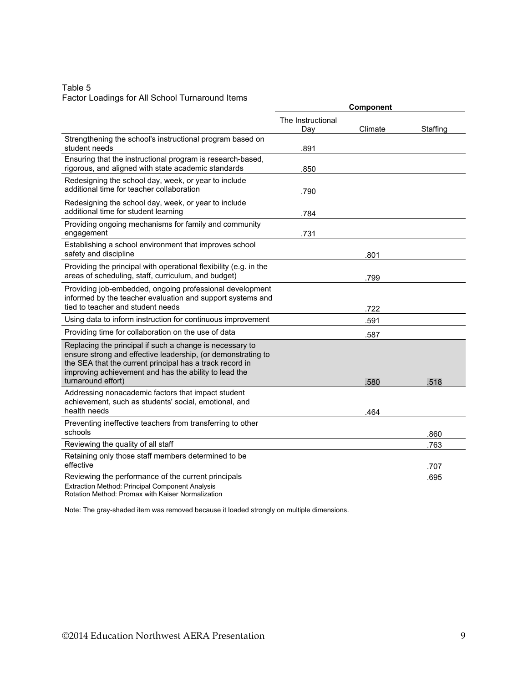### Table 5 Factor Loadings for All School Turnaround Items

| i actor Ecadingo for All Concor Tamarcand                                                                                                                                                                                                                           |                          | <b>Component</b> |          |
|---------------------------------------------------------------------------------------------------------------------------------------------------------------------------------------------------------------------------------------------------------------------|--------------------------|------------------|----------|
|                                                                                                                                                                                                                                                                     | The Instructional<br>Day | Climate          | Staffing |
| Strengthening the school's instructional program based on<br>student needs                                                                                                                                                                                          | .891                     |                  |          |
| Ensuring that the instructional program is research-based,<br>rigorous, and aligned with state academic standards                                                                                                                                                   | .850                     |                  |          |
| Redesigning the school day, week, or year to include<br>additional time for teacher collaboration                                                                                                                                                                   | .790                     |                  |          |
| Redesigning the school day, week, or year to include<br>additional time for student learning                                                                                                                                                                        | .784                     |                  |          |
| Providing ongoing mechanisms for family and community<br>engagement                                                                                                                                                                                                 | .731                     |                  |          |
| Establishing a school environment that improves school<br>safety and discipline                                                                                                                                                                                     |                          | .801             |          |
| Providing the principal with operational flexibility (e.g. in the<br>areas of scheduling, staff, curriculum, and budget)                                                                                                                                            |                          | .799             |          |
| Providing job-embedded, ongoing professional development<br>informed by the teacher evaluation and support systems and<br>tied to teacher and student needs                                                                                                         |                          | .722             |          |
| Using data to inform instruction for continuous improvement                                                                                                                                                                                                         |                          | 591              |          |
| Providing time for collaboration on the use of data                                                                                                                                                                                                                 |                          | .587             |          |
| Replacing the principal if such a change is necessary to<br>ensure strong and effective leadership, (or demonstrating to<br>the SEA that the current principal has a track record in<br>improving achievement and has the ability to lead the<br>turnaround effort) |                          | .580             | .518     |
| Addressing nonacademic factors that impact student<br>achievement, such as students' social, emotional, and<br>health needs                                                                                                                                         |                          | .464             |          |
| Preventing ineffective teachers from transferring to other<br>schools                                                                                                                                                                                               |                          |                  | .860     |
| Reviewing the quality of all staff                                                                                                                                                                                                                                  |                          |                  | .763     |
| Retaining only those staff members determined to be<br>effective                                                                                                                                                                                                    |                          |                  | .707     |
| Reviewing the performance of the current principals<br><b>Extraction Method: Principal Component Analysis</b>                                                                                                                                                       |                          |                  | .695     |
|                                                                                                                                                                                                                                                                     |                          |                  |          |

Rotation Method: Promax with Kaiser Normalization

Note: The gray-shaded item was removed because it loaded strongly on multiple dimensions.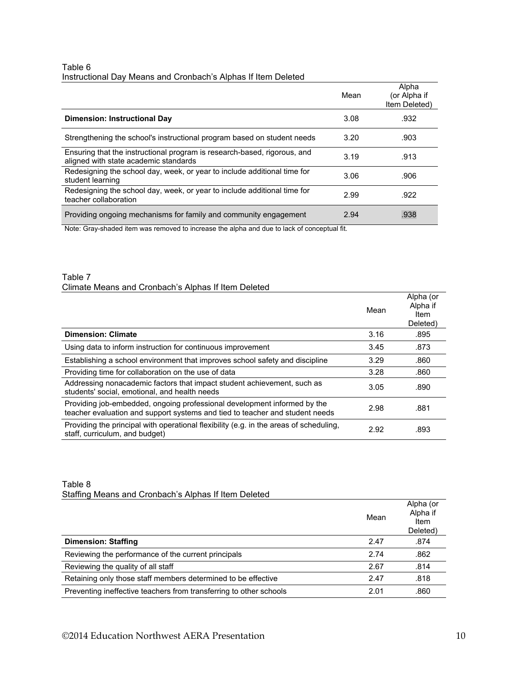#### Table 6 Instructional Day Means and Cronbach's Alphas If Item Deleted

| Mean | Alpha<br>(or Alpha if<br>Item Deleted) |
|------|----------------------------------------|
| 3.08 | .932                                   |
| 3.20 | .903                                   |
| 3.19 | .913                                   |
| 3.06 | .906                                   |
| 2.99 | .922                                   |
| 2.94 | .938                                   |
|      |                                        |

Note: Gray-shaded item was removed to increase the alpha and due to lack of conceptual fit.

#### Table 7 Climate Means and Cronbach's Alphas If Item Deleted

|                                                                                                                                                          | Mean | Alpha (or<br>Alpha if<br>Item<br>Deleted) |
|----------------------------------------------------------------------------------------------------------------------------------------------------------|------|-------------------------------------------|
| <b>Dimension: Climate</b>                                                                                                                                | 3.16 | .895                                      |
| Using data to inform instruction for continuous improvement                                                                                              | 3.45 | .873                                      |
| Establishing a school environment that improves school safety and discipline                                                                             | 3.29 | .860                                      |
| Providing time for collaboration on the use of data                                                                                                      | 3.28 | .860                                      |
| Addressing nonacademic factors that impact student achievement, such as<br>students' social, emotional, and health needs                                 | 3.05 | .890                                      |
| Providing job-embedded, ongoing professional development informed by the<br>teacher evaluation and support systems and tied to teacher and student needs | 2.98 | .881                                      |
| Providing the principal with operational flexibility (e.g. in the areas of scheduling,<br>staff, curriculum, and budget)                                 | 2.92 | .893                                      |

#### Table 8 Staffing Means and Cronbach's Alphas If Item Deleted

|                                                                    | Mean | Alpha (or<br>Alpha if<br>Item<br>Deleted) |
|--------------------------------------------------------------------|------|-------------------------------------------|
| <b>Dimension: Staffing</b>                                         | 2.47 | .874                                      |
| Reviewing the performance of the current principals                | 2.74 | .862                                      |
| Reviewing the quality of all staff                                 | 2.67 | .814                                      |
| Retaining only those staff members determined to be effective      | 2.47 | .818                                      |
| Preventing ineffective teachers from transferring to other schools | 2.01 | .860                                      |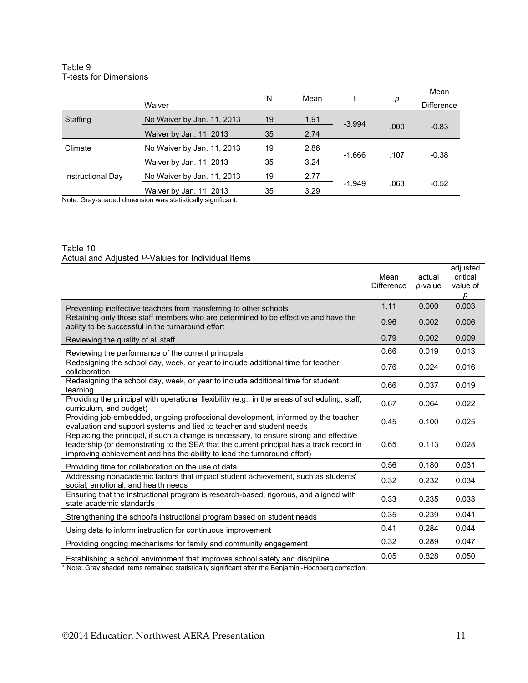#### Table 9 T-tests for Dimensions

|                   |                            | N  | Mean |          | p    | Mean              |
|-------------------|----------------------------|----|------|----------|------|-------------------|
|                   | Waiver                     |    |      |          |      | <b>Difference</b> |
| Staffing          | No Waiver by Jan. 11, 2013 | 19 | 1.91 | $-3.994$ |      |                   |
|                   | Waiver by Jan. 11, 2013    | 35 | 2.74 |          | .000 | $-0.83$           |
| Climate           | No Waiver by Jan. 11, 2013 | 19 | 2.86 |          |      |                   |
|                   | Waiver by Jan. 11, 2013    | 35 | 3.24 | $-1.666$ | .107 | $-0.38$           |
| Instructional Day | No Waiver by Jan. 11, 2013 | 19 | 2.77 |          |      |                   |
| .<br>.            | Waiver by Jan. 11, 2013    | 35 | 3.29 | $-1.949$ | .063 | $-0.52$           |

Note: Gray-shaded dimension was statistically significant.

#### Table 10 Actual and Adjusted *P-*Values for Individual Items

|                                                                                                                                                                                                                                                                | Mean<br><b>Difference</b> | actual<br>p-value | adjusted<br>critical<br>value of<br>р |
|----------------------------------------------------------------------------------------------------------------------------------------------------------------------------------------------------------------------------------------------------------------|---------------------------|-------------------|---------------------------------------|
| Preventing ineffective teachers from transferring to other schools                                                                                                                                                                                             | 1.11                      | 0.000             | 0.003                                 |
| Retaining only those staff members who are determined to be effective and have the<br>ability to be successful in the turnaround effort                                                                                                                        | 0.96                      | 0.002             | 0.006                                 |
| Reviewing the quality of all staff                                                                                                                                                                                                                             | 0.79                      | 0.002             | 0.009                                 |
| Reviewing the performance of the current principals                                                                                                                                                                                                            | 0.66                      | 0.019             | 0.013                                 |
| Redesigning the school day, week, or year to include additional time for teacher<br>collaboration                                                                                                                                                              | 0.76                      | 0.024             | 0.016                                 |
| Redesigning the school day, week, or year to include additional time for student<br>learning                                                                                                                                                                   | 0.66                      | 0.037             | 0.019                                 |
| Providing the principal with operational flexibility (e.g., in the areas of scheduling, staff,<br>curriculum, and budget)                                                                                                                                      | 0.67                      | 0.064             | 0.022                                 |
| Providing job-embedded, ongoing professional development, informed by the teacher<br>evaluation and support systems and tied to teacher and student needs                                                                                                      | 0.45                      | 0.100             | 0.025                                 |
| Replacing the principal, if such a change is necessary, to ensure strong and effective<br>leadership (or demonstrating to the SEA that the current principal has a track record in<br>improving achievement and has the ability to lead the turnaround effort) | 0.65                      | 0.113             | 0.028                                 |
| Providing time for collaboration on the use of data                                                                                                                                                                                                            | 0.56                      | 0.180             | 0.031                                 |
| Addressing nonacademic factors that impact student achievement, such as students'<br>social, emotional, and health needs                                                                                                                                       | 0.32                      | 0.232             | 0.034                                 |
| Ensuring that the instructional program is research-based, rigorous, and aligned with<br>state academic standards                                                                                                                                              | 0.33                      | 0.235             | 0.038                                 |
| Strengthening the school's instructional program based on student needs                                                                                                                                                                                        | 0.35                      | 0.239             | 0.041                                 |
| Using data to inform instruction for continuous improvement                                                                                                                                                                                                    | 0.41                      | 0.284             | 0.044                                 |
| Providing ongoing mechanisms for family and community engagement                                                                                                                                                                                               | 0.32                      | 0.289             | 0.047                                 |
| Establishing a school environment that improves school safety and discipline                                                                                                                                                                                   | 0.05                      | 0.828             | 0.050                                 |

\* Note: Gray shaded items remained statistically significant after the Benjamini-Hochberg correction.